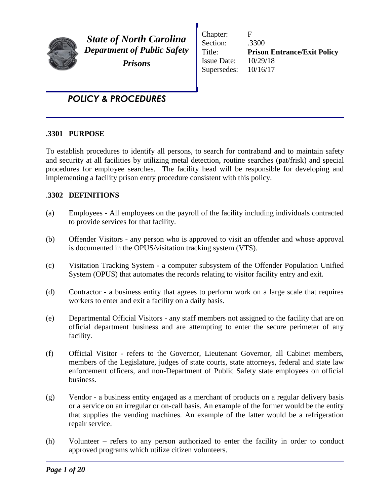

*State of North Carolina Department of Public Safety Prisons*

Chapter: F Section: .3300 Title: **Prison Entrance/Exit Policy** Issue Date: 10/29/18 Supersedes: 10/16/17

# *POLICY & PROCEDURES*

#### **.3301 PURPOSE**

To establish procedures to identify all persons, to search for contraband and to maintain safety and security at all facilities by utilizing metal detection, routine searches (pat/frisk) and special procedures for employee searches. The facility head will be responsible for developing and implementing a facility prison entry procedure consistent with this policy.

## .**3302 DEFINITIONS**

- (a) Employees All employees on the payroll of the facility including individuals contracted to provide services for that facility.
- (b) Offender Visitors any person who is approved to visit an offender and whose approval is documented in the OPUS/visitation tracking system (VTS).
- (c) Visitation Tracking System a computer subsystem of the Offender Population Unified System (OPUS) that automates the records relating to visitor facility entry and exit.
- (d) Contractor a business entity that agrees to perform work on a large scale that requires workers to enter and exit a facility on a daily basis.
- (e) Departmental Official Visitors any staff members not assigned to the facility that are on official department business and are attempting to enter the secure perimeter of any facility.
- (f) Official Visitor refers to the Governor, Lieutenant Governor, all Cabinet members, members of the Legislature, judges of state courts, state attorneys, federal and state law enforcement officers, and non-Department of Public Safety state employees on official business.
- (g) Vendor a business entity engaged as a merchant of products on a regular delivery basis or a service on an irregular or on-call basis. An example of the former would be the entity that supplies the vending machines. An example of the latter would be a refrigeration repair service.
- (h) Volunteer refers to any person authorized to enter the facility in order to conduct approved programs which utilize citizen volunteers.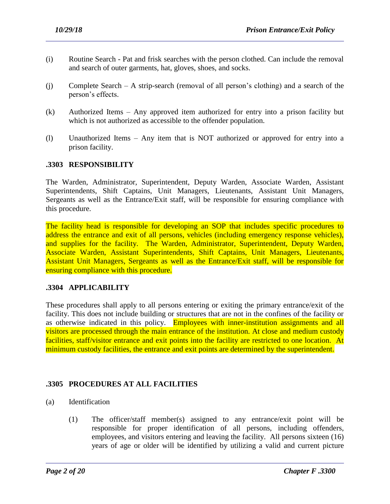- (i) Routine Search Pat and frisk searches with the person clothed. Can include the removal and search of outer garments, hat, gloves, shoes, and socks.
- (j) Complete Search A strip-search (removal of all person's clothing) and a search of the person's effects.
- (k) Authorized Items Any approved item authorized for entry into a prison facility but which is not authorized as accessible to the offender population.
- (l) Unauthorized Items Any item that is NOT authorized or approved for entry into a prison facility.

## **.3303 RESPONSIBILITY**

The Warden, Administrator, Superintendent, Deputy Warden, Associate Warden, Assistant Superintendents, Shift Captains, Unit Managers, Lieutenants, Assistant Unit Managers, Sergeants as well as the Entrance/Exit staff, will be responsible for ensuring compliance with this procedure.

The facility head is responsible for developing an SOP that includes specific procedures to address the entrance and exit of all persons, vehicles (including emergency response vehicles), and supplies for the facility. The Warden, Administrator, Superintendent, Deputy Warden, Associate Warden, Assistant Superintendents, Shift Captains, Unit Managers, Lieutenants, Assistant Unit Managers, Sergeants as well as the Entrance/Exit staff, will be responsible for ensuring compliance with this procedure.

#### **.3304 APPLICABILITY**

These procedures shall apply to all persons entering or exiting the primary entrance/exit of the facility. This does not include building or structures that are not in the confines of the facility or as otherwise indicated in this policy. Employees with inner-institution assignments and all visitors are processed through the main entrance of the institution. At close and medium custody facilities, staff/visitor entrance and exit points into the facility are restricted to one location. At minimum custody facilities, the entrance and exit points are determined by the superintendent.

# **.3305 PROCEDURES AT ALL FACILITIES**

- (a) Identification
	- (1) The officer/staff member(s) assigned to any entrance/exit point will be responsible for proper identification of all persons, including offenders, employees, and visitors entering and leaving the facility. All persons sixteen (16) years of age or older will be identified by utilizing a valid and current picture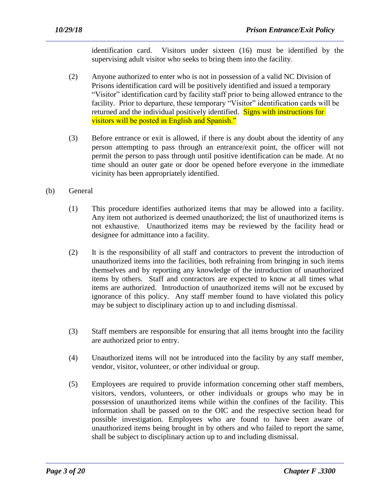identification card. Visitors under sixteen (16) must be identified by the supervising adult visitor who seeks to bring them into the facility.

- (2) Anyone authorized to enter who is not in possession of a valid NC Division of Prisons identification card will be positively identified and issued a temporary "Visitor" identification card by facility staff prior to being allowed entrance to the facility. Prior to departure, these temporary "Visitor" identification cards will be returned and the individual positively identified. Signs with instructions for visitors will be posted in English and Spanish."
- (3) Before entrance or exit is allowed, if there is any doubt about the identity of any person attempting to pass through an entrance/exit point, the officer will not permit the person to pass through until positive identification can be made. At no time should an outer gate or door be opened before everyone in the immediate vicinity has been appropriately identified.
- (b) General
	- (1) This procedure identifies authorized items that may be allowed into a facility. Any item not authorized is deemed unauthorized; the list of unauthorized items is not exhaustive. Unauthorized items may be reviewed by the facility head or designee for admittance into a facility.
	- (2) It is the responsibility of all staff and contractors to prevent the introduction of unauthorized items into the facilities, both refraining from bringing in such items themselves and by reporting any knowledge of the introduction of unauthorized items by others. Staff and contractors are expected to know at all times what items are authorized. Introduction of unauthorized items will not be excused by ignorance of this policy. Any staff member found to have violated this policy may be subject to disciplinary action up to and including dismissal.
	- (3) Staff members are responsible for ensuring that all items brought into the facility are authorized prior to entry.
	- (4) Unauthorized items will not be introduced into the facility by any staff member, vendor, visitor, volunteer, or other individual or group.
	- (5) Employees are required to provide information concerning other staff members, visitors, vendors, volunteers, or other individuals or groups who may be in possession of unauthorized items while within the confines of the facility. This information shall be passed on to the OIC and the respective section head for possible investigation. Employees who are found to have been aware of unauthorized items being brought in by others and who failed to report the same, shall be subject to disciplinary action up to and including dismissal.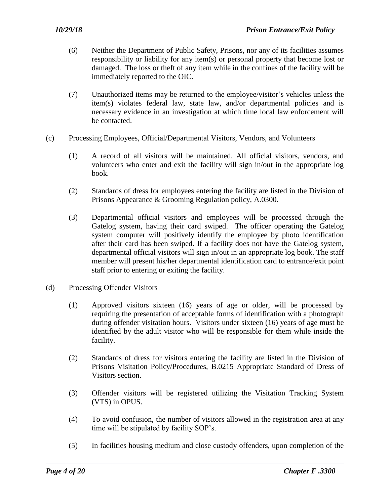- (6) Neither the Department of Public Safety, Prisons, nor any of its facilities assumes responsibility or liability for any item(s) or personal property that become lost or damaged. The loss or theft of any item while in the confines of the facility will be immediately reported to the OIC.
- (7) Unauthorized items may be returned to the employee/visitor's vehicles unless the item(s) violates federal law, state law, and/or departmental policies and is necessary evidence in an investigation at which time local law enforcement will be contacted.
- (c) Processing Employees, Official/Departmental Visitors, Vendors, and Volunteers
	- (1) A record of all visitors will be maintained. All official visitors, vendors, and volunteers who enter and exit the facility will sign in/out in the appropriate log book.
	- (2) Standards of dress for employees entering the facility are listed in the Division of Prisons Appearance & Grooming Regulation policy, A.0300.
	- (3) Departmental official visitors and employees will be processed through the Gatelog system, having their card swiped. The officer operating the Gatelog system computer will positively identify the employee by photo identification after their card has been swiped. If a facility does not have the Gatelog system, departmental official visitors will sign in/out in an appropriate log book. The staff member will present his/her departmental identification card to entrance/exit point staff prior to entering or exiting the facility.
- (d) Processing Offender Visitors
	- (1) Approved visitors sixteen (16) years of age or older, will be processed by requiring the presentation of acceptable forms of identification with a photograph during offender visitation hours. Visitors under sixteen (16) years of age must be identified by the adult visitor who will be responsible for them while inside the facility.
	- (2) Standards of dress for visitors entering the facility are listed in the Division of Prisons Visitation Policy/Procedures, B.0215 Appropriate Standard of Dress of Visitors section.
	- (3) Offender visitors will be registered utilizing the Visitation Tracking System (VTS) in OPUS.
	- (4) To avoid confusion, the number of visitors allowed in the registration area at any time will be stipulated by facility SOP's.
	- (5) In facilities housing medium and close custody offenders, upon completion of the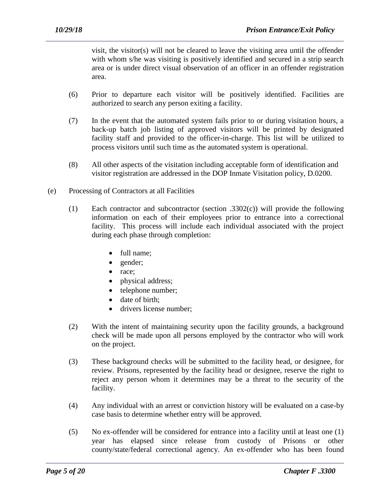visit, the visitor(s) will not be cleared to leave the visiting area until the offender with whom s/he was visiting is positively identified and secured in a strip search area or is under direct visual observation of an officer in an offender registration area.

- (6) Prior to departure each visitor will be positively identified. Facilities are authorized to search any person exiting a facility.
- (7) In the event that the automated system fails prior to or during visitation hours, a back-up batch job listing of approved visitors will be printed by designated facility staff and provided to the officer-in-charge. This list will be utilized to process visitors until such time as the automated system is operational.
- (8) All other aspects of the visitation including acceptable form of identification and visitor registration are addressed in the DOP Inmate Visitation policy, D.0200.
- (e) Processing of Contractors at all Facilities
	- (1) Each contractor and subcontractor (section .3302(c)) will provide the following information on each of their employees prior to entrance into a correctional facility. This process will include each individual associated with the project during each phase through completion:
		- full name;
		- gender;
		- race:
		- physical address;
		- telephone number;
		- date of birth:
		- drivers license number;
	- (2) With the intent of maintaining security upon the facility grounds, a background check will be made upon all persons employed by the contractor who will work on the project.
	- (3) These background checks will be submitted to the facility head, or designee, for review. Prisons, represented by the facility head or designee, reserve the right to reject any person whom it determines may be a threat to the security of the facility.
	- (4) Any individual with an arrest or conviction history will be evaluated on a case-by case basis to determine whether entry will be approved.
	- (5) No ex-offender will be considered for entrance into a facility until at least one (1) year has elapsed since release from custody of Prisons or other county/state/federal correctional agency. An ex-offender who has been found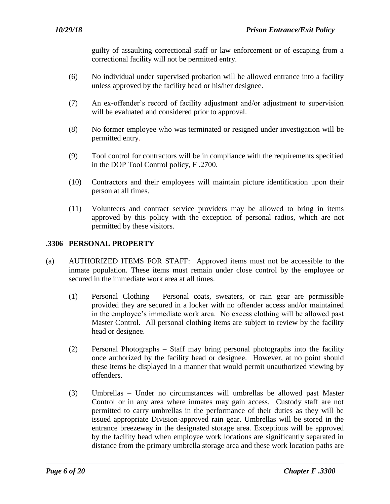guilty of assaulting correctional staff or law enforcement or of escaping from a correctional facility will not be permitted entry.

- (6) No individual under supervised probation will be allowed entrance into a facility unless approved by the facility head or his/her designee.
- (7) An ex-offender's record of facility adjustment and/or adjustment to supervision will be evaluated and considered prior to approval.
- (8) No former employee who was terminated or resigned under investigation will be permitted entry.
- (9) Tool control for contractors will be in compliance with the requirements specified in the DOP Tool Control policy, F .2700.
- (10) Contractors and their employees will maintain picture identification upon their person at all times.
- (11) Volunteers and contract service providers may be allowed to bring in items approved by this policy with the exception of personal radios, which are not permitted by these visitors.

## **.3306 PERSONAL PROPERTY**

- (a) AUTHORIZED ITEMS FOR STAFF: Approved items must not be accessible to the inmate population. These items must remain under close control by the employee or secured in the immediate work area at all times.
	- (1) Personal Clothing Personal coats, sweaters, or rain gear are permissible provided they are secured in a locker with no offender access and/or maintained in the employee's immediate work area. No excess clothing will be allowed past Master Control. All personal clothing items are subject to review by the facility head or designee.
	- (2) Personal Photographs Staff may bring personal photographs into the facility once authorized by the facility head or designee. However, at no point should these items be displayed in a manner that would permit unauthorized viewing by offenders.
	- (3) Umbrellas Under no circumstances will umbrellas be allowed past Master Control or in any area where inmates may gain access. Custody staff are not permitted to carry umbrellas in the performance of their duties as they will be issued appropriate Division-approved rain gear. Umbrellas will be stored in the entrance breezeway in the designated storage area. Exceptions will be approved by the facility head when employee work locations are significantly separated in distance from the primary umbrella storage area and these work location paths are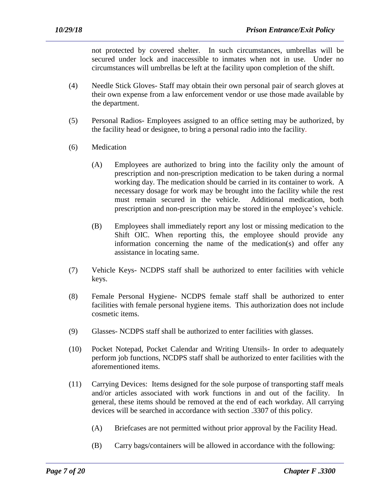not protected by covered shelter. In such circumstances, umbrellas will be secured under lock and inaccessible to inmates when not in use. Under no circumstances will umbrellas be left at the facility upon completion of the shift.

- (4) Needle Stick Gloves- Staff may obtain their own personal pair of search gloves at their own expense from a law enforcement vendor or use those made available by the department.
- (5) Personal Radios- Employees assigned to an office setting may be authorized, by the facility head or designee, to bring a personal radio into the facility.
- (6) Medication
	- (A) Employees are authorized to bring into the facility only the amount of prescription and non-prescription medication to be taken during a normal working day. The medication should be carried in its container to work. A necessary dosage for work may be brought into the facility while the rest must remain secured in the vehicle. Additional medication, both prescription and non-prescription may be stored in the employee's vehicle.
	- (B) Employees shall immediately report any lost or missing medication to the Shift OIC. When reporting this, the employee should provide any information concerning the name of the medication(s) and offer any assistance in locating same.
- (7) Vehicle Keys- NCDPS staff shall be authorized to enter facilities with vehicle keys.
- (8) Female Personal Hygiene- NCDPS female staff shall be authorized to enter facilities with female personal hygiene items. This authorization does not include cosmetic items.
- (9) Glasses- NCDPS staff shall be authorized to enter facilities with glasses.
- (10) Pocket Notepad, Pocket Calendar and Writing Utensils- In order to adequately perform job functions, NCDPS staff shall be authorized to enter facilities with the aforementioned items.
- (11) Carrying Devices: Items designed for the sole purpose of transporting staff meals and/or articles associated with work functions in and out of the facility. In general, these items should be removed at the end of each workday. All carrying devices will be searched in accordance with section .3307 of this policy.
	- (A) Briefcases are not permitted without prior approval by the Facility Head.
	- (B) Carry bags/containers will be allowed in accordance with the following: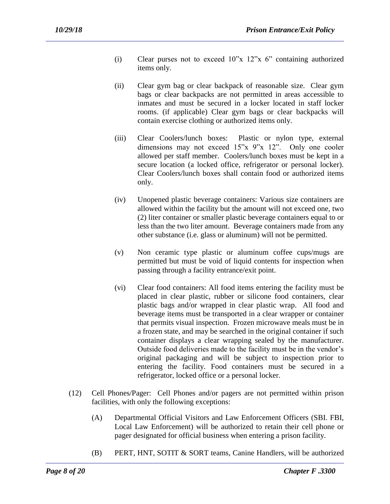- (i) Clear purses not to exceed 10"x 12"x 6" containing authorized items only.
- (ii) Clear gym bag or clear backpack of reasonable size. Clear gym bags or clear backpacks are not permitted in areas accessible to inmates and must be secured in a locker located in staff locker rooms. (if applicable) Clear gym bags or clear backpacks will contain exercise clothing or authorized items only.
- (iii) Clear Coolers/lunch boxes: Plastic or nylon type, external dimensions may not exceed 15"x 9"x 12". Only one cooler allowed per staff member. Coolers/lunch boxes must be kept in a secure location (a locked office, refrigerator or personal locker). Clear Coolers/lunch boxes shall contain food or authorized items only.
- (iv) Unopened plastic beverage containers: Various size containers are allowed within the facility but the amount will not exceed one, two (2) liter container or smaller plastic beverage containers equal to or less than the two liter amount. Beverage containers made from any other substance (i.e. glass or aluminum) will not be permitted.
- (v) Non ceramic type plastic or aluminum coffee cups/mugs are permitted but must be void of liquid contents for inspection when passing through a facility entrance/exit point.
- (vi) Clear food containers: All food items entering the facility must be placed in clear plastic, rubber or silicone food containers, clear plastic bags and/or wrapped in clear plastic wrap. All food and beverage items must be transported in a clear wrapper or container that permits visual inspection. Frozen microwave meals must be in a frozen state, and may be searched in the original container if such container displays a clear wrapping sealed by the manufacturer. Outside food deliveries made to the facility must be in the vendor's original packaging and will be subject to inspection prior to entering the facility. Food containers must be secured in a refrigerator, locked office or a personal locker.
- (12) Cell Phones/Pager: Cell Phones and/or pagers are not permitted within prison facilities, with only the following exceptions:

- (A) Departmental Official Visitors and Law Enforcement Officers (SBI. FBI, Local Law Enforcement) will be authorized to retain their cell phone or pager designated for official business when entering a prison facility.
- (B) PERT, HNT, SOTIT & SORT teams, Canine Handlers, will be authorized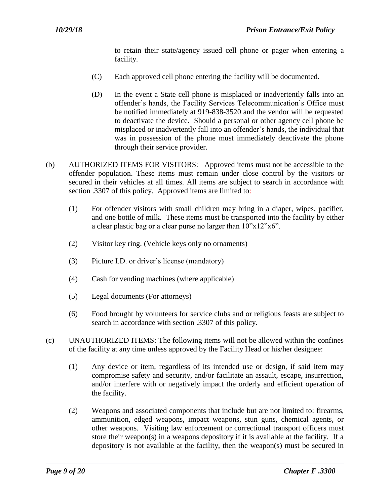to retain their state/agency issued cell phone or pager when entering a facility.

- (C) Each approved cell phone entering the facility will be documented.
- (D) In the event a State cell phone is misplaced or inadvertently falls into an offender's hands, the Facility Services Telecommunication's Office must be notified immediately at 919-838-3520 and the vendor will be requested to deactivate the device. Should a personal or other agency cell phone be misplaced or inadvertently fall into an offender's hands, the individual that was in possession of the phone must immediately deactivate the phone through their service provider.
- (b) AUTHORIZED ITEMS FOR VISITORS: Approved items must not be accessible to the offender population. These items must remain under close control by the visitors or secured in their vehicles at all times. All items are subject to search in accordance with section .3307 of this policy. Approved items are limited to:
	- (1) For offender visitors with small children may bring in a diaper, wipes, pacifier, and one bottle of milk. These items must be transported into the facility by either a clear plastic bag or a clear purse no larger than  $10"x12"x6"$ .
	- (2) Visitor key ring. (Vehicle keys only no ornaments)
	- (3) Picture I.D. or driver's license (mandatory)
	- (4) Cash for vending machines (where applicable)
	- (5) Legal documents (For attorneys)
	- (6) Food brought by volunteers for service clubs and or religious feasts are subject to search in accordance with section .3307 of this policy.
- (c) UNAUTHORIZED ITEMS: The following items will not be allowed within the confines of the facility at any time unless approved by the Facility Head or his/her designee:
	- (1) Any device or item, regardless of its intended use or design, if said item may compromise safety and security, and/or facilitate an assault, escape, insurrection, and/or interfere with or negatively impact the orderly and efficient operation of the facility.
	- (2) Weapons and associated components that include but are not limited to: firearms, ammunition, edged weapons, impact weapons, stun guns, chemical agents, or other weapons. Visiting law enforcement or correctional transport officers must store their weapon(s) in a weapons depository if it is available at the facility. If a depository is not available at the facility, then the weapon(s) must be secured in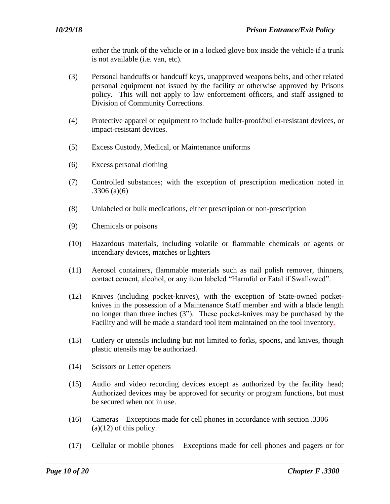either the trunk of the vehicle or in a locked glove box inside the vehicle if a trunk is not available (i.e. van, etc).

- (3) Personal handcuffs or handcuff keys, unapproved weapons belts, and other related personal equipment not issued by the facility or otherwise approved by Prisons policy. This will not apply to law enforcement officers, and staff assigned to Division of Community Corrections.
- (4) Protective apparel or equipment to include bullet-proof/bullet-resistant devices, or impact-resistant devices.
- (5) Excess Custody, Medical, or Maintenance uniforms
- (6) Excess personal clothing
- (7) Controlled substances; with the exception of prescription medication noted in .3306 (a)(6)
- (8) Unlabeled or bulk medications, either prescription or non-prescription
- (9) Chemicals or poisons
- (10) Hazardous materials, including volatile or flammable chemicals or agents or incendiary devices, matches or lighters
- (11) Aerosol containers, flammable materials such as nail polish remover, thinners, contact cement, alcohol, or any item labeled "Harmful or Fatal if Swallowed".
- (12) Knives (including pocket-knives), with the exception of State-owned pocketknives in the possession of a Maintenance Staff member and with a blade length no longer than three inches (3"). These pocket-knives may be purchased by the Facility and will be made a standard tool item maintained on the tool inventory.
- (13) Cutlery or utensils including but not limited to forks, spoons, and knives, though plastic utensils may be authorized.
- (14) Scissors or Letter openers
- (15) Audio and video recording devices except as authorized by the facility head; Authorized devices may be approved for security or program functions, but must be secured when not in use.
- (16) Cameras Exceptions made for cell phones in accordance with section .3306  $(a)(12)$  of this policy.

(17) Cellular or mobile phones – Exceptions made for cell phones and pagers or for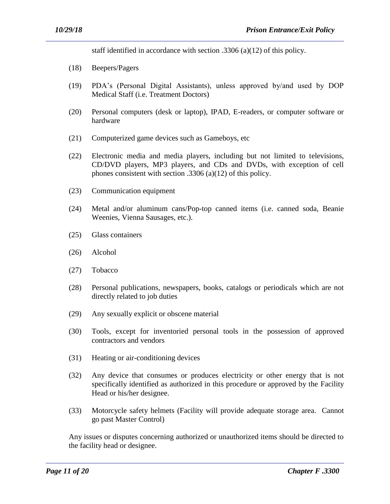staff identified in accordance with section .3306 (a)(12) of this policy.

- (18) Beepers/Pagers
- (19) PDA's (Personal Digital Assistants), unless approved by/and used by DOP Medical Staff (i.e. Treatment Doctors)
- (20) Personal computers (desk or laptop), IPAD, E-readers, or computer software or hardware
- (21) Computerized game devices such as Gameboys, etc
- (22) Electronic media and media players, including but not limited to televisions, CD/DVD players, MP3 players, and CDs and DVDs, with exception of cell phones consistent with section .3306 (a)(12) of this policy.
- (23) Communication equipment
- (24) Metal and/or aluminum cans/Pop-top canned items (i.e. canned soda, Beanie Weenies, Vienna Sausages, etc.).
- (25) Glass containers
- (26) Alcohol
- (27) Tobacco
- (28) Personal publications, newspapers, books, catalogs or periodicals which are not directly related to job duties
- (29) Any sexually explicit or obscene material
- (30) Tools, except for inventoried personal tools in the possession of approved contractors and vendors
- (31) Heating or air-conditioning devices
- (32) Any device that consumes or produces electricity or other energy that is not specifically identified as authorized in this procedure or approved by the Facility Head or his/her designee.
- (33) Motorcycle safety helmets (Facility will provide adequate storage area. Cannot go past Master Control)

Any issues or disputes concerning authorized or unauthorized items should be directed to the facility head or designee.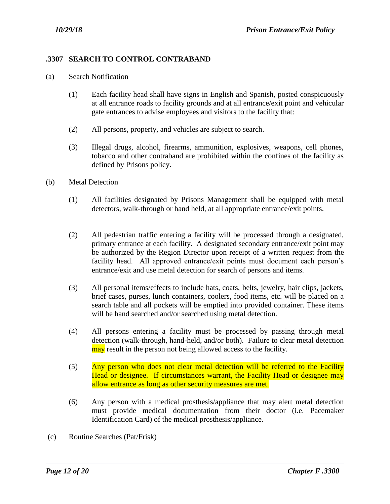## **.3307 SEARCH TO CONTROL CONTRABAND**

- (a) Search Notification
	- (1) Each facility head shall have signs in English and Spanish, posted conspicuously at all entrance roads to facility grounds and at all entrance/exit point and vehicular gate entrances to advise employees and visitors to the facility that:
	- (2) All persons, property, and vehicles are subject to search.
	- (3) Illegal drugs, alcohol, firearms, ammunition, explosives, weapons, cell phones, tobacco and other contraband are prohibited within the confines of the facility as defined by Prisons policy.
- (b) Metal Detection
	- (1) All facilities designated by Prisons Management shall be equipped with metal detectors, walk-through or hand held, at all appropriate entrance/exit points.
	- (2) All pedestrian traffic entering a facility will be processed through a designated, primary entrance at each facility. A designated secondary entrance/exit point may be authorized by the Region Director upon receipt of a written request from the facility head. All approved entrance/exit points must document each person's entrance/exit and use metal detection for search of persons and items.
	- (3) All personal items/effects to include hats, coats, belts, jewelry, hair clips, jackets, brief cases, purses, lunch containers, coolers, food items, etc. will be placed on a search table and all pockets will be emptied into provided container. These items will be hand searched and/or searched using metal detection.
	- (4) All persons entering a facility must be processed by passing through metal detection (walk-through, hand-held, and/or both). Failure to clear metal detection may result in the person not being allowed access to the facility.
	- (5) Any person who does not clear metal detection will be referred to the Facility Head or designee. If circumstances warrant, the Facility Head or designee may allow entrance as long as other security measures are met.
	- (6) Any person with a medical prosthesis/appliance that may alert metal detection must provide medical documentation from their doctor (i.e. Pacemaker Identification Card) of the medical prosthesis/appliance.

(c) Routine Searches (Pat/Frisk)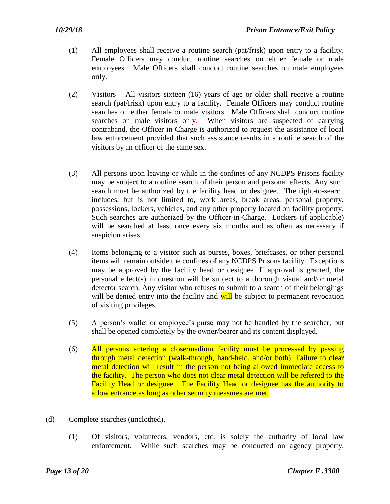- (1) All employees shall receive a routine search (pat/frisk) upon entry to a facility. Female Officers may conduct routine searches on either female or male employees. Male Officers shall conduct routine searches on male employees only.
- (2) Visitors All visitors sixteen (16) years of age or older shall receive a routine search (pat/frisk) upon entry to a facility. Female Officers may conduct routine searches on either female or male visitors. Male Officers shall conduct routine searches on male visitors only. When visitors are suspected of carrying contraband, the Officer in Charge is authorized to request the assistance of local law enforcement provided that such assistance results in a routine search of the visitors by an officer of the same sex.
- (3) All persons upon leaving or while in the confines of any NCDPS Prisons facility may be subject to a routine search of their person and personal effects. Any such search must be authorized by the facility head or designee. The right-to-search includes, but is not limited to, work areas, break areas, personal property, possessions, lockers, vehicles, and any other property located on facility property. Such searches are authorized by the Officer-in-Charge. Lockers (if applicable) will be searched at least once every six months and as often as necessary if suspicion arises.
- (4) Items belonging to a visitor such as purses, boxes, briefcases, or other personal items will remain outside the confines of any NCDPS Prisons facility. Exceptions may be approved by the facility head or designee. If approval is granted, the personal effect(s) in question will be subject to a thorough visual and/or metal detector search. Any visitor who refuses to submit to a search of their belongings will be denied entry into the facility and will be subject to permanent revocation of visiting privileges.
- (5) A person's wallet or employee's purse may not be handled by the searcher, but shall be opened completely by the owner/bearer and its content displayed.
- (6) All persons entering a close/medium facility must be processed by passing through metal detection (walk-through, hand-held, and/or both). Failure to clear metal detection will result in the person not being allowed immediate access to the facility. The person who does not clear metal detection will be referred to the Facility Head or designee. The Facility Head or designee has the authority to allow entrance as long as other security measures are met.
- (d) Complete searches (unclothed).
	- (1) Of visitors, volunteers, vendors, etc. is solely the authority of local law enforcement. While such searches may be conducted on agency property,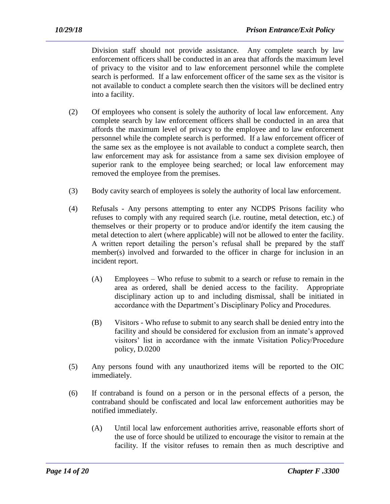Division staff should not provide assistance. Any complete search by law enforcement officers shall be conducted in an area that affords the maximum level of privacy to the visitor and to law enforcement personnel while the complete search is performed. If a law enforcement officer of the same sex as the visitor is not available to conduct a complete search then the visitors will be declined entry into a facility.

- (2) Of employees who consent is solely the authority of local law enforcement. Any complete search by law enforcement officers shall be conducted in an area that affords the maximum level of privacy to the employee and to law enforcement personnel while the complete search is performed. If a law enforcement officer of the same sex as the employee is not available to conduct a complete search, then law enforcement may ask for assistance from a same sex division employee of superior rank to the employee being searched; or local law enforcement may removed the employee from the premises.
- (3) Body cavity search of employees is solely the authority of local law enforcement.
- (4) Refusals Any persons attempting to enter any NCDPS Prisons facility who refuses to comply with any required search (i.e. routine, metal detection, etc.) of themselves or their property or to produce and/or identify the item causing the metal detection to alert (where applicable) will not be allowed to enter the facility. A written report detailing the person's refusal shall be prepared by the staff member(s) involved and forwarded to the officer in charge for inclusion in an incident report.
	- (A) Employees Who refuse to submit to a search or refuse to remain in the area as ordered, shall be denied access to the facility. Appropriate disciplinary action up to and including dismissal, shall be initiated in accordance with the Department's Disciplinary Policy and Procedures.
	- (B) Visitors Who refuse to submit to any search shall be denied entry into the facility and should be considered for exclusion from an inmate's approved visitors' list in accordance with the inmate Visitation Policy/Procedure policy, D.0200
- (5) Any persons found with any unauthorized items will be reported to the OIC immediately.
- (6) If contraband is found on a person or in the personal effects of a person, the contraband should be confiscated and local law enforcement authorities may be notified immediately.

(A) Until local law enforcement authorities arrive, reasonable efforts short of the use of force should be utilized to encourage the visitor to remain at the facility. If the visitor refuses to remain then as much descriptive and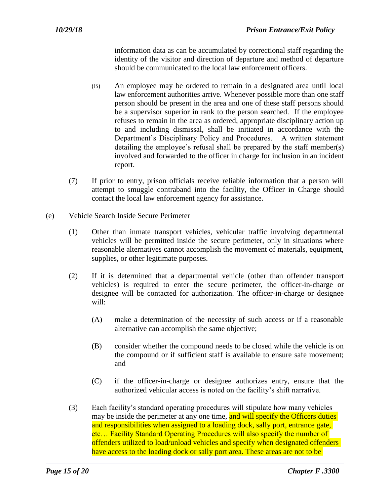information data as can be accumulated by correctional staff regarding the identity of the visitor and direction of departure and method of departure should be communicated to the local law enforcement officers.

- (B) An employee may be ordered to remain in a designated area until local law enforcement authorities arrive. Whenever possible more than one staff person should be present in the area and one of these staff persons should be a supervisor superior in rank to the person searched. If the employee refuses to remain in the area as ordered, appropriate disciplinary action up to and including dismissal, shall be initiated in accordance with the Department's Disciplinary Policy and Procedures. A written statement detailing the employee's refusal shall be prepared by the staff member(s) involved and forwarded to the officer in charge for inclusion in an incident report.
- (7) If prior to entry, prison officials receive reliable information that a person will attempt to smuggle contraband into the facility, the Officer in Charge should contact the local law enforcement agency for assistance.
- (e) Vehicle Search Inside Secure Perimeter
	- (1) Other than inmate transport vehicles, vehicular traffic involving departmental vehicles will be permitted inside the secure perimeter, only in situations where reasonable alternatives cannot accomplish the movement of materials, equipment, supplies, or other legitimate purposes.
	- (2) If it is determined that a departmental vehicle (other than offender transport vehicles) is required to enter the secure perimeter, the officer-in-charge or designee will be contacted for authorization. The officer-in-charge or designee will:
		- (A) make a determination of the necessity of such access or if a reasonable alternative can accomplish the same objective;
		- (B) consider whether the compound needs to be closed while the vehicle is on the compound or if sufficient staff is available to ensure safe movement; and
		- (C) if the officer-in-charge or designee authorizes entry, ensure that the authorized vehicular access is noted on the facility's shift narrative.
	- (3) Each facility's standard operating procedures will stipulate how many vehicles may be inside the perimeter at any one time, and will specify the Officers duties and responsibilities when assigned to a loading dock, sally port, entrance gate, etc… Facility Standard Operating Procedures will also specify the number of offenders utilized to load/unload vehicles and specify when designated offenders have access to the loading dock or sally port area. These areas are not to be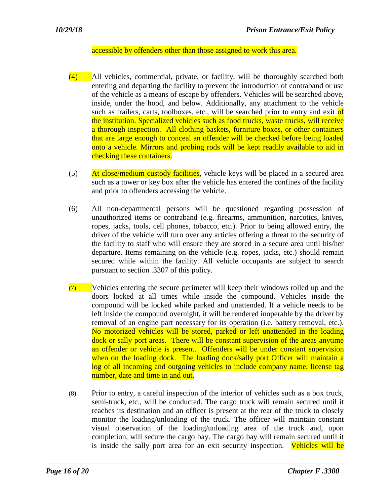#### accessible by offenders other than those assigned to work this area.

- (4) All vehicles, commercial, private, or facility, will be thoroughly searched both entering and departing the facility to prevent the introduction of contraband or use of the vehicle as a means of escape by offenders. Vehicles will be searched above, inside, under the hood, and below. Additionally, any attachment to the vehicle such as trailers, carts, toolboxes, etc., will be searched prior to entry and exit of the institution. Specialized vehicles such as food trucks, waste trucks, will receive a thorough inspection. All clothing baskets, furniture boxes, or other containers that are large enough to conceal an offender will be checked before being loaded onto a vehicle. Mirrors and probing rods will be kept readily available to aid in checking these containers.
- (5) At close/medium custody facilities, vehicle keys will be placed in a secured area such as a tower or key box after the vehicle has entered the confines of the facility and prior to offenders accessing the vehicle.
- (6) All non-departmental persons will be questioned regarding possession of unauthorized items or contraband (e.g. firearms, ammunition, narcotics, knives, ropes, jacks, tools, cell phones, tobacco, etc.). Prior to being allowed entry, the driver of the vehicle will turn over any articles offering a threat to the security of the facility to staff who will ensure they are stored in a secure area until his/her departure. Items remaining on the vehicle (e.g. ropes, jacks, etc.) should remain secured while within the facility. All vehicle occupants are subject to search pursuant to section .3307 of this policy.
- $(7)$  Vehicles entering the secure perimeter will keep their windows rolled up and the doors locked at all times while inside the compound. Vehicles inside the compound will be locked while parked and unattended. If a vehicle needs to be left inside the compound overnight, it will be rendered inoperable by the driver by removal of an engine part necessary for its operation (i.e. battery removal, etc.). No motorized vehicles will be stored, parked or left unattended in the loading dock or sally port areas. There will be constant supervision of the areas anytime an offender or vehicle is present. Offenders will be under constant supervision when on the loading dock. The loading dock/sally port Officer will maintain a log of all incoming and outgoing vehicles to include company name, license tag number, date and time in and out.
- (8) Prior to entry, a careful inspection of the interior of vehicles such as a box truck, semi-truck, etc., will be conducted. The cargo truck will remain secured until it reaches its destination and an officer is present at the rear of the truck to closely monitor the loading/unloading of the truck. The officer will maintain constant visual observation of the loading/unloading area of the truck and, upon completion, will secure the cargo bay. The cargo bay will remain secured until it is inside the sally port area for an exit security inspection. Vehicles will be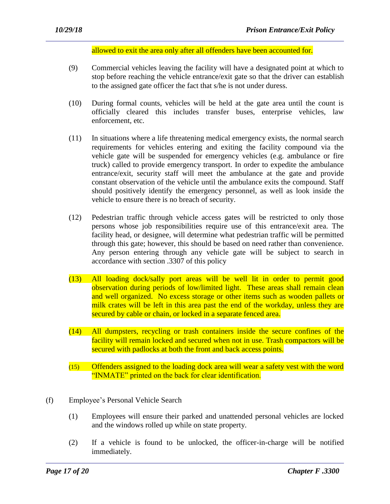allowed to exit the area only after all offenders have been accounted for.

- (9) Commercial vehicles leaving the facility will have a designated point at which to stop before reaching the vehicle entrance/exit gate so that the driver can establish to the assigned gate officer the fact that s/he is not under duress.
- (10) During formal counts, vehicles will be held at the gate area until the count is officially cleared this includes transfer buses, enterprise vehicles, law enforcement, etc.
- (11) In situations where a life threatening medical emergency exists, the normal search requirements for vehicles entering and exiting the facility compound via the vehicle gate will be suspended for emergency vehicles (e.g. ambulance or fire truck) called to provide emergency transport. In order to expedite the ambulance entrance/exit, security staff will meet the ambulance at the gate and provide constant observation of the vehicle until the ambulance exits the compound. Staff should positively identify the emergency personnel, as well as look inside the vehicle to ensure there is no breach of security.
- (12) Pedestrian traffic through vehicle access gates will be restricted to only those persons whose job responsibilities require use of this entrance/exit area. The facility head, or designee, will determine what pedestrian traffic will be permitted through this gate; however, this should be based on need rather than convenience. Any person entering through any vehicle gate will be subject to search in accordance with section .3307 of this policy
- (13) All loading dock/sally port areas will be well lit in order to permit good observation during periods of low/limited light. These areas shall remain clean and well organized. No excess storage or other items such as wooden pallets or milk crates will be left in this area past the end of the workday, unless they are secured by cable or chain, or locked in a separate fenced area.
- (14) All dumpsters, recycling or trash containers inside the secure confines of the facility will remain locked and secured when not in use. Trash compactors will be secured with padlocks at both the front and back access points.
- (15) Offenders assigned to the loading dock area will wear a safety vest with the word "INMATE" printed on the back for clear identification.
- (f) Employee's Personal Vehicle Search
	- (1) Employees will ensure their parked and unattended personal vehicles are locked and the windows rolled up while on state property.
	- (2) If a vehicle is found to be unlocked, the officer-in-charge will be notified immediately.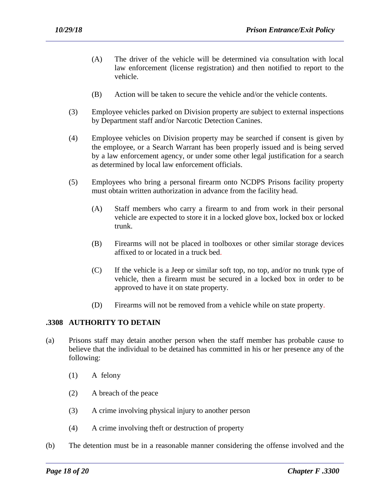- (A) The driver of the vehicle will be determined via consultation with local law enforcement (license registration) and then notified to report to the vehicle.
- (B) Action will be taken to secure the vehicle and/or the vehicle contents.
- (3) Employee vehicles parked on Division property are subject to external inspections by Department staff and/or Narcotic Detection Canines.
- (4) Employee vehicles on Division property may be searched if consent is given by the employee, or a Search Warrant has been properly issued and is being served by a law enforcement agency, or under some other legal justification for a search as determined by local law enforcement officials.
- (5) Employees who bring a personal firearm onto NCDPS Prisons facility property must obtain written authorization in advance from the facility head.
	- (A) Staff members who carry a firearm to and from work in their personal vehicle are expected to store it in a locked glove box, locked box or locked trunk.
	- (B) Firearms will not be placed in toolboxes or other similar storage devices affixed to or located in a truck bed.
	- (C) If the vehicle is a Jeep or similar soft top, no top, and/or no trunk type of vehicle, then a firearm must be secured in a locked box in order to be approved to have it on state property.
	- (D) Firearms will not be removed from a vehicle while on state property.

## **.3308 AUTHORITY TO DETAIN**

- (a) Prisons staff may detain another person when the staff member has probable cause to believe that the individual to be detained has committed in his or her presence any of the following:
	- (1) A felony
	- (2) A breach of the peace
	- (3) A crime involving physical injury to another person
	- (4) A crime involving theft or destruction of property
- (b) The detention must be in a reasonable manner considering the offense involved and the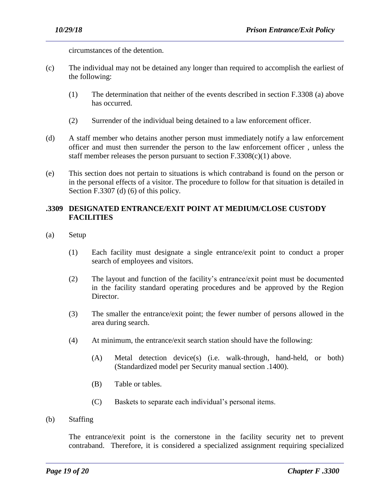circumstances of the detention.

- (c) The individual may not be detained any longer than required to accomplish the earliest of the following:
	- (1) The determination that neither of the events described in section F.3308 (a) above has occurred.
	- (2) Surrender of the individual being detained to a law enforcement officer.
- (d) A staff member who detains another person must immediately notify a law enforcement officer and must then surrender the person to the law enforcement officer , unless the staff member releases the person pursuant to section  $F.3308(c)(1)$  above.
- (e) This section does not pertain to situations is which contraband is found on the person or in the personal effects of a visitor. The procedure to follow for that situation is detailed in Section F.3307 (d) (6) of this policy.

## **.3309 DESIGNATED ENTRANCE/EXIT POINT AT MEDIUM/CLOSE CUSTODY FACILITIES**

- (a) Setup
	- (1) Each facility must designate a single entrance/exit point to conduct a proper search of employees and visitors.
	- (2) The layout and function of the facility's entrance/exit point must be documented in the facility standard operating procedures and be approved by the Region Director.
	- (3) The smaller the entrance/exit point; the fewer number of persons allowed in the area during search.
	- (4) At minimum, the entrance/exit search station should have the following:
		- (A) Metal detection device(s) (i.e. walk-through, hand-held, or both) (Standardized model per Security manual section .1400).
		- (B) Table or tables.
		- (C) Baskets to separate each individual's personal items.

(b) Staffing

The entrance/exit point is the cornerstone in the facility security net to prevent contraband. Therefore, it is considered a specialized assignment requiring specialized